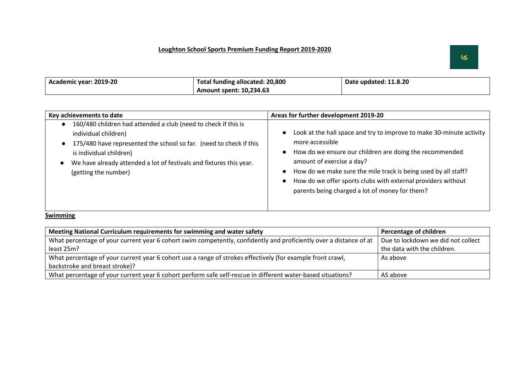| Academic year: 2019-20 | Total funding allocated: 20,800 | Date updated: 11.8.20 |
|------------------------|---------------------------------|-----------------------|
|                        | Amount spent: 10,234.63         |                       |

| Key achievements to date                                                                                                                                                                                                                                                               | Areas for further development 2019-20                                                                                                                                                                                                                                                                                                                               |
|----------------------------------------------------------------------------------------------------------------------------------------------------------------------------------------------------------------------------------------------------------------------------------------|---------------------------------------------------------------------------------------------------------------------------------------------------------------------------------------------------------------------------------------------------------------------------------------------------------------------------------------------------------------------|
| 160/480 children had attended a club (need to check if this is<br>individual children)<br>175/480 have represented the school so far. (need to check if this<br>is individual children)<br>We have already attended a lot of festivals and fixtures this year.<br>(getting the number) | Look at the hall space and try to improve to make 30-minute activity<br>more accessible<br>How do we ensure our children are doing the recommended<br>amount of exercise a day?<br>How do we make sure the mile track is being used by all staff?<br>How do we offer sports clubs with external providers without<br>parents being charged a lot of money for them? |

**Swimming** 

| Meeting National Curriculum requirements for swimming and water safety                                             | Percentage of children             |
|--------------------------------------------------------------------------------------------------------------------|------------------------------------|
| What percentage of your current year 6 cohort swim competently, confidently and proficiently over a distance of at | Due to lockdown we did not collect |
| least 25m?                                                                                                         | the data with the children.        |
| What percentage of your current year 6 cohort use a range of strokes effectively (for example front crawl,         | As above                           |
| backstroke and breast stroke)?                                                                                     |                                    |
| What percentage of your current year 6 cohort perform safe self-rescue in different water-based situations?        | AS above                           |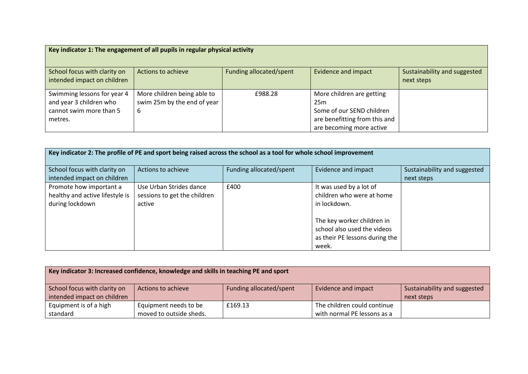|                                                                                              | Key indicator 1: The engagement of all pupils in regular physical activity |                         |                                                                                                                                        |                                            |
|----------------------------------------------------------------------------------------------|----------------------------------------------------------------------------|-------------------------|----------------------------------------------------------------------------------------------------------------------------------------|--------------------------------------------|
| School focus with clarity on<br>intended impact on children                                  | Actions to achieve                                                         | Funding allocated/spent | <b>Evidence and impact</b>                                                                                                             | Sustainability and suggested<br>next steps |
| Swimming lessons for year 4<br>and year 3 children who<br>cannot swim more than 5<br>metres. | More children being able to<br>swim 25m by the end of year<br>6            | £988.28                 | More children are getting<br>25 <sub>m</sub><br>Some of our SEND children<br>are benefitting from this and<br>are becoming more active |                                            |

| Key indicator 2: The profile of PE and sport being raised across the school as a tool for whole school improvement |                                                                   |                         |                                                                                                      |                                            |
|--------------------------------------------------------------------------------------------------------------------|-------------------------------------------------------------------|-------------------------|------------------------------------------------------------------------------------------------------|--------------------------------------------|
| School focus with clarity on<br>intended impact on children                                                        | Actions to achieve                                                | Funding allocated/spent | <b>Evidence and impact</b>                                                                           | Sustainability and suggested<br>next steps |
| Promote how important a<br>healthy and active lifestyle is<br>during lockdown                                      | Use Urban Strides dance<br>sessions to get the children<br>active | £400                    | It was used by a lot of<br>children who were at home<br>in lockdown.                                 |                                            |
|                                                                                                                    |                                                                   |                         | The key worker children in<br>school also used the videos<br>as their PE lessons during the<br>week. |                                            |

|                              | Key indicator 3: Increased confidence, knowledge and skills in teaching PE and sport |                         |                             |                              |
|------------------------------|--------------------------------------------------------------------------------------|-------------------------|-----------------------------|------------------------------|
| School focus with clarity on | Actions to achieve                                                                   | Funding allocated/spent | Evidence and impact         | Sustainability and suggested |
| intended impact on children  |                                                                                      |                         |                             | next steps                   |
| Equipment is of a high       | Equipment needs to be                                                                | £169.13                 | The children could continue |                              |
| standard                     | moved to outside sheds.                                                              |                         | with normal PE lessons as a |                              |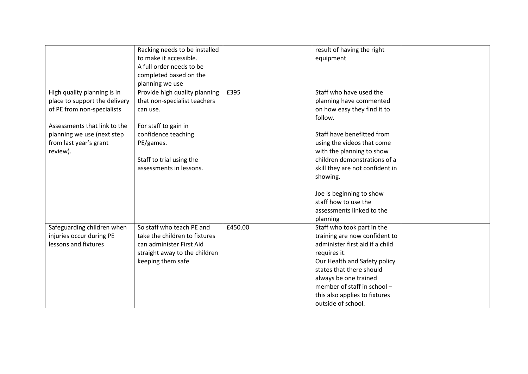|                               | Racking needs to be installed<br>to make it accessible. |         | result of having the right      |  |
|-------------------------------|---------------------------------------------------------|---------|---------------------------------|--|
|                               | A full order needs to be                                |         | equipment                       |  |
|                               | completed based on the                                  |         |                                 |  |
|                               |                                                         |         |                                 |  |
|                               | planning we use                                         | £395    | Staff who have used the         |  |
| High quality planning is in   | Provide high quality planning                           |         |                                 |  |
| place to support the delivery | that non-specialist teachers                            |         | planning have commented         |  |
| of PE from non-specialists    | can use.                                                |         | on how easy they find it to     |  |
|                               |                                                         |         | follow.                         |  |
| Assessments that link to the  | For staff to gain in                                    |         |                                 |  |
| planning we use (next step    | confidence teaching                                     |         | Staff have benefitted from      |  |
| from last year's grant        | PE/games.                                               |         | using the videos that come      |  |
| review).                      |                                                         |         | with the planning to show       |  |
|                               | Staff to trial using the                                |         | children demonstrations of a    |  |
|                               | assessments in lessons.                                 |         | skill they are not confident in |  |
|                               |                                                         |         | showing.                        |  |
|                               |                                                         |         | Joe is beginning to show        |  |
|                               |                                                         |         | staff how to use the            |  |
|                               |                                                         |         | assessments linked to the       |  |
|                               |                                                         |         |                                 |  |
|                               |                                                         |         | planning                        |  |
| Safeguarding children when    | So staff who teach PE and                               | £450.00 | Staff who took part in the      |  |
| injuries occur during PE      | take the children to fixtures                           |         | training are now confident to   |  |
| lessons and fixtures          | can administer First Aid                                |         | administer first aid if a child |  |
|                               | straight away to the children                           |         | requires it.                    |  |
|                               | keeping them safe                                       |         | Our Health and Safety policy    |  |
|                               |                                                         |         | states that there should        |  |
|                               |                                                         |         | always be one trained           |  |
|                               |                                                         |         | member of staff in school -     |  |
|                               |                                                         |         | this also applies to fixtures   |  |
|                               |                                                         |         | outside of school.              |  |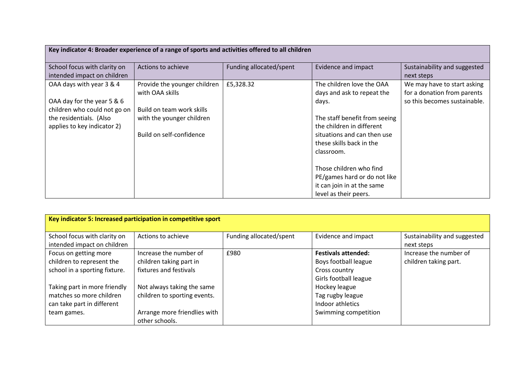| Key indicator 4: Broader experience of a range of sports and activities offered to all children |                              |                         |                               |                              |
|-------------------------------------------------------------------------------------------------|------------------------------|-------------------------|-------------------------------|------------------------------|
| School focus with clarity on                                                                    | Actions to achieve           | Funding allocated/spent | Evidence and impact           | Sustainability and suggested |
| intended impact on children                                                                     |                              |                         |                               | next steps                   |
| OAA days with year 3 & 4                                                                        | Provide the younger children | £5,328.32               | The children love the OAA     | We may have to start asking  |
|                                                                                                 | with OAA skills              |                         | days and ask to repeat the    | for a donation from parents  |
| OAA day for the year 5 & 6                                                                      |                              |                         | days.                         | so this becomes sustainable. |
| children who could not go on                                                                    | Build on team work skills    |                         |                               |                              |
| the residentials. (Also                                                                         | with the younger children    |                         | The staff benefit from seeing |                              |
| applies to key indicator 2)                                                                     |                              |                         | the children in different     |                              |
|                                                                                                 | Build on self-confidence     |                         | situations and can then use   |                              |
|                                                                                                 |                              |                         | these skills back in the      |                              |
|                                                                                                 |                              |                         | classroom.                    |                              |
|                                                                                                 |                              |                         |                               |                              |
|                                                                                                 |                              |                         | Those children who find       |                              |
|                                                                                                 |                              |                         | PE/games hard or do not like  |                              |
|                                                                                                 |                              |                         | it can join in at the same    |                              |
|                                                                                                 |                              |                         | level as their peers.         |                              |

|                               | Key indicator 5: Increased participation in competitive sport |                         |                            |                              |
|-------------------------------|---------------------------------------------------------------|-------------------------|----------------------------|------------------------------|
| School focus with clarity on  | Actions to achieve                                            | Funding allocated/spent | Evidence and impact        | Sustainability and suggested |
| intended impact on children   |                                                               |                         |                            | next steps                   |
| Focus on getting more         | Increase the number of                                        | £980                    | <b>Festivals attended:</b> | Increase the number of       |
| children to represent the     | children taking part in                                       |                         | Boys football league       | children taking part.        |
| school in a sporting fixture. | fixtures and festivals                                        |                         | Cross country              |                              |
|                               |                                                               |                         | Girls football league      |                              |
| Taking part in more friendly  | Not always taking the same                                    |                         | Hockey league              |                              |
| matches so more children      | children to sporting events.                                  |                         | Tag rugby league           |                              |
| can take part in different    |                                                               |                         | Indoor athletics           |                              |
| team games.                   | Arrange more friendlies with                                  |                         | Swimming competition       |                              |
|                               | other schools.                                                |                         |                            |                              |